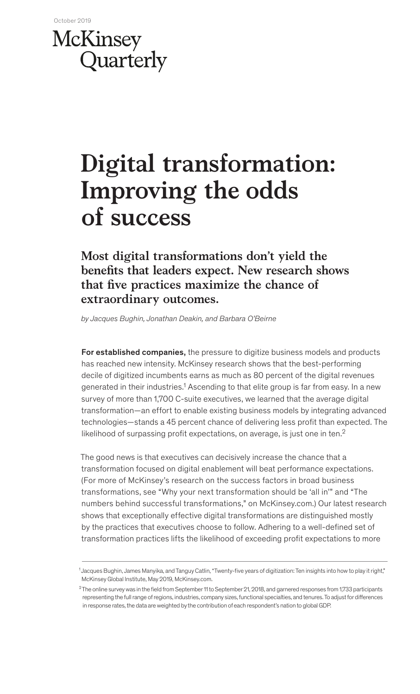## McKinsey Quarterly

# **Digital transformation: Improving the odds of success**

**Most digital transformations don't yield the benefits that leaders expect. New research shows that five practices maximize the chance of extraordinary outcomes.**

*by Jacques Bughin, Jonathan Deakin, and Barbara O'Beirne*

For established companies, the pressure to digitize business models and products has reached new intensity. McKinsey research shows that the best-performing decile of digitized incumbents earns as much as 80 percent of the digital revenues generated in their industries.<sup>1</sup> Ascending to that elite group is far from easy. In a new survey of more than 1,700 C-suite executives, we learned that the average digital transformation—an effort to enable existing business models by integrating advanced technologies—stands a 45 percent chance of delivering less profit than expected. The likelihood of surpassing profit expectations, on average, is just one in ten. $2$ 

The good news is that executives can decisively increase the chance that a transformation focused on digital enablement will beat performance expectations. (For more of McKinsey's research on the success factors in broad business transformations, see "Why your next transformation should be 'all in'" and "The numbers behind successful transformations," on McKinsey.com.) Our latest research shows that exceptionally effective digital transformations are distinguished mostly by the practices that executives choose to follow. Adhering to a well-defined set of transformation practices lifts the likelihood of exceeding profit expectations to more

<sup>1</sup> Jacques Bughin, James Manyika, and Tanguy Catlin, "Twenty-five years of digitization: Ten insights into how to play it right," McKinsey Global Institute, May 2019, McKinsey.com.

<sup>&</sup>lt;sup>2</sup> The online survey was in the field from September 11 to September 21, 2018, and garnered responses from 1,733 participants representing the full range of regions, industries, company sizes, functional specialties, and tenures. To adjust for differences in response rates, the data are weighted by the contribution of each respondent's nation to global GDP.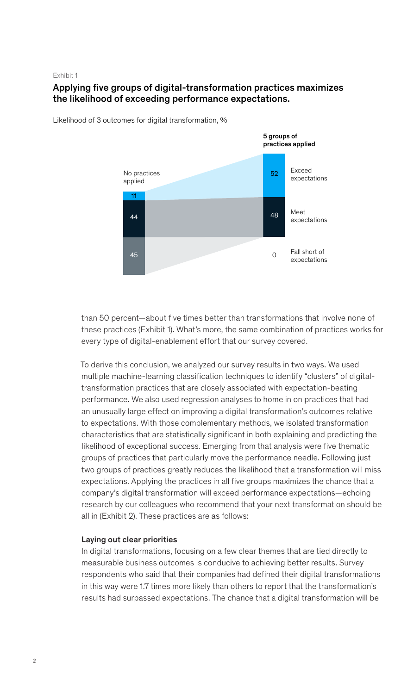#### Exhibit 1

## Applying five groups of digital-transformation practices maximizes the likelihood of exceeding performance expectations.



Likelihood of 3 outcomes for digital transformation, %

than 50 percent—about five times better than transformations that involve none of these practices (Exhibit 1). What's more, the same combination of practices works for every type of digital-enablement effort that our survey covered.

To derive this conclusion, we analyzed our survey results in two ways. We used multiple machine-learning classification techniques to identify "clusters" of digitaltransformation practices that are closely associated with expectation-beating performance. We also used regression analyses to home in on practices that had an unusually large effect on improving a digital transformation's outcomes relative to expectations. With those complementary methods, we isolated transformation characteristics that are statistically significant in both explaining and predicting the likelihood of exceptional success. Emerging from that analysis were five thematic groups of practices that particularly move the performance needle. Following just two groups of practices greatly reduces the likelihood that a transformation will miss expectations. Applying the practices in all five groups maximizes the chance that a company's digital transformation will exceed performance expectations—echoing research by our colleagues who recommend that your next transformation should be all in (Exhibit 2). These practices are as follows:

## Laying out clear priorities

In digital transformations, focusing on a few clear themes that are tied directly to measurable business outcomes is conducive to achieving better results. Survey respondents who said that their companies had defined their digital transformations in this way were 1.7 times more likely than others to report that the transformation's results had surpassed expectations. The chance that a digital transformation will be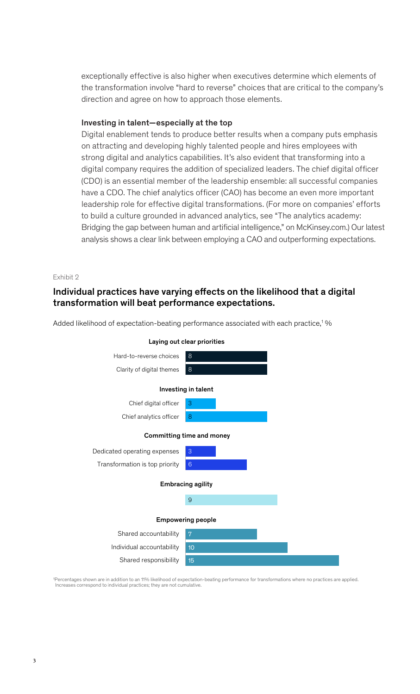exceptionally effective is also higher when executives determine which elements of the transformation involve "hard to reverse" choices that are critical to the company's direction and agree on how to approach those elements.

### Investing in talent—especially at the top

Digital enablement tends to produce better results when a company puts emphasis on attracting and developing highly talented people and hires employees with strong digital and analytics capabilities. It's also evident that transforming into a digital company requires the addition of specialized leaders. The chief digital officer (CDO) is an essential member of the leadership ensemble: all successful companies have a CDO. The chief analytics officer (CAO) has become an even more important leadership role for effective digital transformations. (For more on companies' efforts to build a culture grounded in advanced analytics, see "The analytics academy: Bridging the gap between human and artificial intelligence," on McKinsey.com.) Our latest analysis shows a clear link between employing a CAO and outperforming expectations.

## Exhibit 2

## Individual practices have varying effects on the likelihood that a digital transformation will beat performance expectations.

Added likelihood of expectation-beating performance associated with each practice,<sup>1</sup>%



1Percentages shown are in addition to an 11% likelihood of expectation-beating performance for transformations where no practices are applied. Increases correspond to individual practices; they are not cumulative.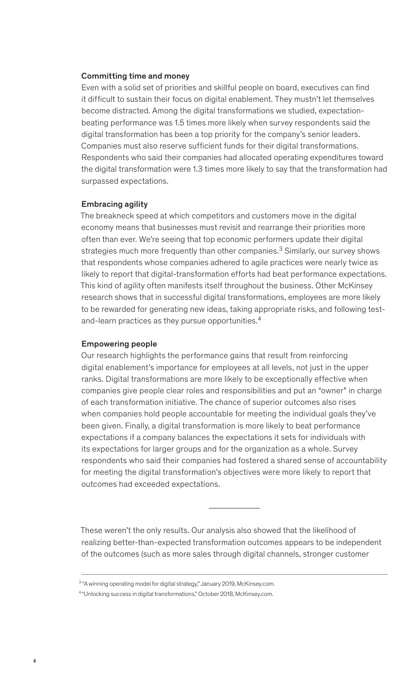## Committing time and money

Even with a solid set of priorities and skillful people on board, executives can find it difficult to sustain their focus on digital enablement. They mustn't let themselves become distracted. Among the digital transformations we studied, expectationbeating performance was 1.5 times more likely when survey respondents said the digital transformation has been a top priority for the company's senior leaders. Companies must also reserve sufficient funds for their digital transformations. Respondents who said their companies had allocated operating expenditures toward the digital transformation were 1.3 times more likely to say that the transformation had surpassed expectations.

#### Embracing agility

The breakneck speed at which competitors and customers move in the digital economy means that businesses must revisit and rearrange their priorities more often than ever. We're seeing that top economic performers update their digital strategies much more frequently than other companies.<sup>3</sup> Similarly, our survey shows that respondents whose companies adhered to agile practices were nearly twice as likely to report that digital-transformation efforts had beat performance expectations. This kind of agility often manifests itself throughout the business. Other McKinsey research shows that in successful digital transformations, employees are more likely to be rewarded for generating new ideas, taking appropriate risks, and following testand-learn practices as they pursue opportunities.<sup>4</sup>

#### Empowering people

Our research highlights the performance gains that result from reinforcing digital enablement's importance for employees at all levels, not just in the upper ranks. Digital transformations are more likely to be exceptionally effective when companies give people clear roles and responsibilities and put an "owner" in charge of each transformation initiative. The chance of superior outcomes also rises when companies hold people accountable for meeting the individual goals they've been given. Finally, a digital transformation is more likely to beat performance expectations if a company balances the expectations it sets for individuals with its expectations for larger groups and for the organization as a whole. Survey respondents who said their companies had fostered a shared sense of accountability for meeting the digital transformation's objectives were more likely to report that outcomes had exceeded expectations.

These weren't the only results. Our analysis also showed that the likelihood of realizing better-than-expected transformation outcomes appears to be independent of the outcomes (such as more sales through digital channels, stronger customer

<sup>3 &</sup>quot;A winning operating model for digital strategy," January 2019, McKinsey.com.

<sup>4 &</sup>quot;Unlocking success in digital transformations," October 2018, McKinsey.com.